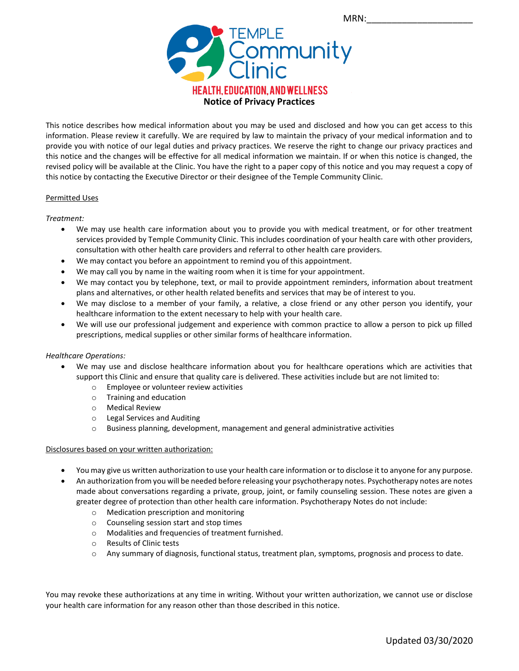

This notice describes how medical information about you may be used and disclosed and how you can get access to this information. Please review it carefully. We are required by law to maintain the privacy of your medical information and to provide you with notice of our legal duties and privacy practices. We reserve the right to change our privacy practices and this notice and the changes will be effective for all medical information we maintain. If or when this notice is changed, the revised policy will be available at the Clinic. You have the right to a paper copy of this notice and you may request a copy of this notice by contacting the Executive Director or their designee of the Temple Community Clinic.

# Permitted Uses

# *Treatment:*

- We may use health care information about you to provide you with medical treatment, or for other treatment services provided by Temple Community Clinic. This includes coordination of your health care with other providers, consultation with other health care providers and referral to other health care providers.
- We may contact you before an appointment to remind you of this appointment.
- We may call you by name in the waiting room when it is time for your appointment.
- We may contact you by telephone, text, or mail to provide appointment reminders, information about treatment plans and alternatives, or other health related benefits and services that may be of interest to you.
- We may disclose to a member of your family, a relative, a close friend or any other person you identify, your healthcare information to the extent necessary to help with your health care.
- We will use our professional judgement and experience with common practice to allow a person to pick up filled prescriptions, medical supplies or other similar forms of healthcare information.

# *Healthcare Operations:*

- We may use and disclose healthcare information about you for healthcare operations which are activities that support this Clinic and ensure that quality care is delivered. These activities include but are not limited to:
	- o Employee or volunteer review activities
	- o Training and education
	- o Medical Review
	- o Legal Services and Auditing
	- o Business planning, development, management and general administrative activities

# Disclosures based on your written authorization:

- You may give us written authorization to use your health care information or to disclose it to anyone for any purpose.
- An authorization from you will be needed before releasing your psychotherapy notes. Psychotherapy notes are notes made about conversations regarding a private, group, joint, or family counseling session. These notes are given a greater degree of protection than other health care information. Psychotherapy Notes do not include:
	- o Medication prescription and monitoring
	- o Counseling session start and stop times
	- o Modalities and frequencies of treatment furnished.
	- o Results of Clinic tests
	- o Any summary of diagnosis, functional status, treatment plan, symptoms, prognosis and process to date.

You may revoke these authorizations at any time in writing. Without your written authorization, we cannot use or disclose your health care information for any reason other than those described in this notice.